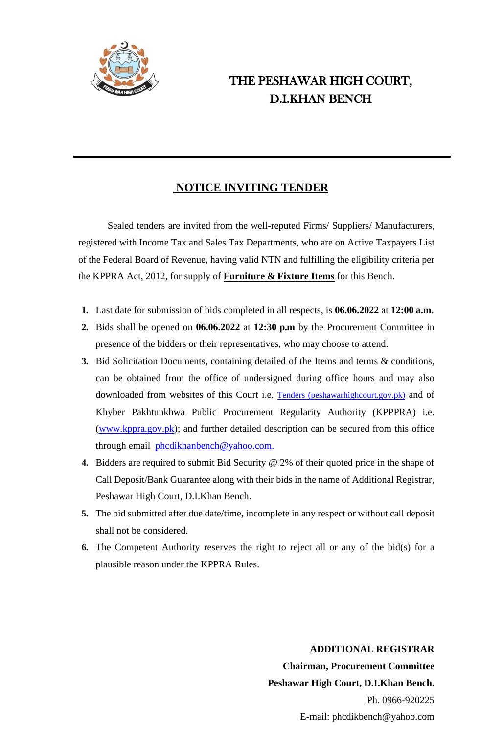

# THE PESHAWAR HIGH COURT, D.I.KHAN BENCH

## **NOTICE INVITING TENDER**

Sealed tenders are invited from the well-reputed Firms/ Suppliers/ Manufacturers, registered with Income Tax and Sales Tax Departments, who are on Active Taxpayers List of the Federal Board of Revenue, having valid NTN and fulfilling the eligibility criteria per the KPPRA Act, 2012, for supply of **Furniture & Fixture Items** for this Bench.

- **1.** Last date for submission of bids completed in all respects, is **06.06.2022** at **12:00 a.m.**
- **2.** Bids shall be opened on **06.06.2022** at **12:30 p.m** by the Procurement Committee in presence of the bidders or their representatives, who may choose to attend.
- **3.** Bid Solicitation Documents, containing detailed of the Items and terms & conditions, can be obtained from the office of undersigned during office hours and may also downloaded from websites of this Court i.e. [Tenders \(peshawarhighcourt.gov.pk\)](https://peshawarhighcourt.gov.pk/app/site/14/p/Tenders.html) and of Khyber Pakhtunkhwa Public Procurement Regularity Authority (KPPPRA) i.e. [\(www.kppra.gov.pk\)](http://www.kppra.gov.pk/); and further detailed description can be secured from this office through email [phcdikhanbench@yahoo.com.](mailto:phcdikhanbench@yahoo.com)
- **4.** Bidders are required to submit Bid Security @ 2% of their quoted price in the shape of Call Deposit/Bank Guarantee along with their bids in the name of Additional Registrar, Peshawar High Court, D.I.Khan Bench.
- **5.** The bid submitted after due date/time, incomplete in any respect or without call deposit shall not be considered.
- **6.** The Competent Authority reserves the right to reject all or any of the bid(s) for a plausible reason under the KPPRA Rules.

 **ADDITIONAL REGISTRAR Chairman, Procurement Committee Peshawar High Court, D.I.Khan Bench.** Ph. 0966-920225 E-mail: phcdikbench@yahoo.com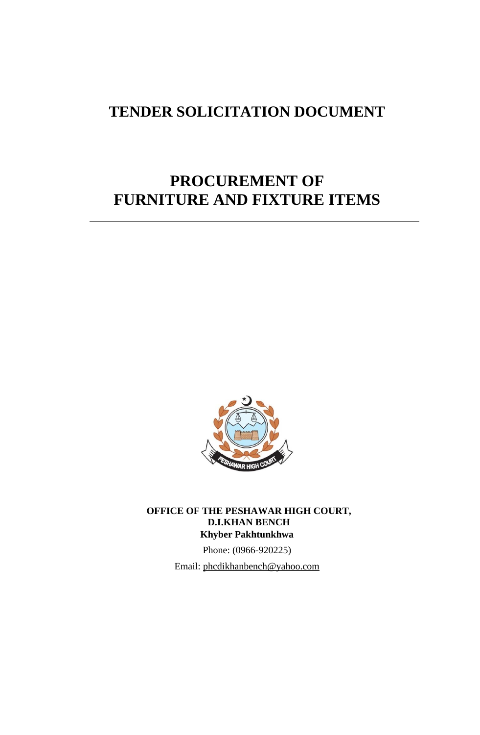# **TENDER SOLICITATION DOCUMENT**

# **PROCUREMENT OF FURNITURE AND FIXTURE ITEMS**



**OFFICE OF THE PESHAWAR HIGH COURT, D.I.KHAN BENCH Khyber Pakhtunkhwa**

> Phone: (0966-920225) Email: [phcdikhanbench@yahoo.com](mailto:phcdikhanbench@yahoo.com)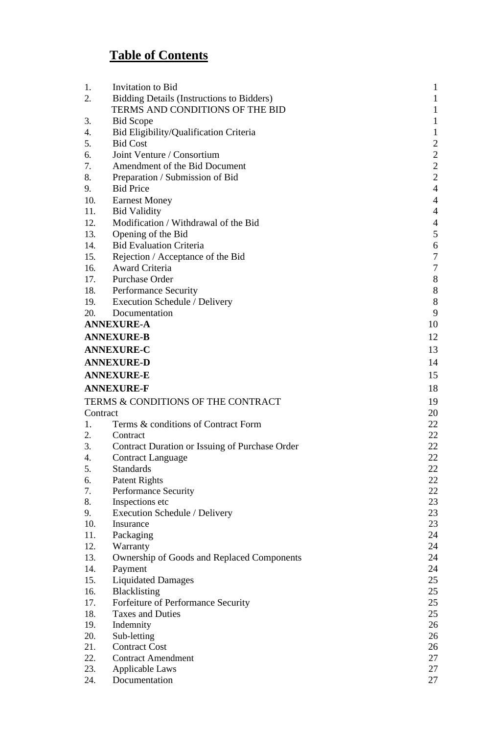# **Table of Contents**

| 1.       | Invitation to Bid                                | 1              |
|----------|--------------------------------------------------|----------------|
| 2.       | <b>Bidding Details (Instructions to Bidders)</b> | $\mathbf 1$    |
|          | TERMS AND CONDITIONS OF THE BID                  | $\mathbf 1$    |
| 3.       | <b>Bid Scope</b>                                 | 1              |
| 4.       | Bid Eligibility/Qualification Criteria           | 1              |
| 5.       | <b>Bid Cost</b>                                  | $\overline{2}$ |
| 6.       | Joint Venture / Consortium                       | $\overline{c}$ |
| 7.       | Amendment of the Bid Document                    | $\overline{c}$ |
| 8.       | Preparation / Submission of Bid                  | $\overline{c}$ |
| 9.       | <b>Bid Price</b>                                 | $\overline{4}$ |
| 10.      | <b>Earnest Money</b>                             | $\overline{4}$ |
| 11.      | <b>Bid Validity</b>                              | $\overline{4}$ |
| 12.      | Modification / Withdrawal of the Bid             | $\overline{4}$ |
| 13.      | Opening of the Bid                               | 5              |
| 14.      | <b>Bid Evaluation Criteria</b>                   | 6              |
| 15.      | Rejection / Acceptance of the Bid                | $\overline{7}$ |
| 16.      | Award Criteria                                   | $\overline{7}$ |
| 17.      | Purchase Order                                   | 8              |
| 18.      | <b>Performance Security</b>                      | 8              |
| 19.      | Execution Schedule / Delivery                    | 8              |
| 20.      | Documentation                                    | 9              |
|          | <b>ANNEXURE-A</b>                                | 10             |
|          | <b>ANNEXURE-B</b>                                | 12             |
|          | <b>ANNEXURE-C</b>                                | 13             |
|          | <b>ANNEXURE-D</b>                                | 14             |
|          | <b>ANNEXURE-E</b>                                | 15             |
|          |                                                  |                |
|          | <b>ANNEXURE-F</b>                                | 18             |
|          | TERMS & CONDITIONS OF THE CONTRACT               | 19             |
| Contract |                                                  | 20             |
| 1.       | Terms & conditions of Contract Form              | 22             |
| 2.       | Contract                                         | 22             |
| 3.       | Contract Duration or Issuing of Purchase Order   | 22             |
| 4.       | <b>Contract Language</b>                         | 22             |
| 5.       | <b>Standards</b>                                 | 22             |
| 6.       | <b>Patent Rights</b>                             | 22             |
| 7.       | Performance Security                             | 22             |
| 8.       | Inspections etc                                  | 23             |
| 9.       | Execution Schedule / Delivery                    | 23             |
| 10.      | Insurance                                        | 23             |
| 11.      | Packaging                                        | 24             |
| 12.      | Warranty                                         | 24             |
| 13.      | Ownership of Goods and Replaced Components       | 24             |
| 14.      | Payment                                          | 24             |
| 15.      | <b>Liquidated Damages</b>                        | 25             |
| 16.      | Blacklisting                                     | 25             |
| 17.      | Forfeiture of Performance Security               | 25             |
| 18.      | <b>Taxes and Duties</b>                          | 25             |
| 19.      | Indemnity                                        | 26             |
| 20.      | Sub-letting                                      | 26             |
| 21.      | <b>Contract Cost</b>                             | 26             |
| 22.      | <b>Contract Amendment</b>                        | 27             |
| 23.      | <b>Applicable Laws</b>                           | 27             |
| 24.      | Documentation                                    | 27             |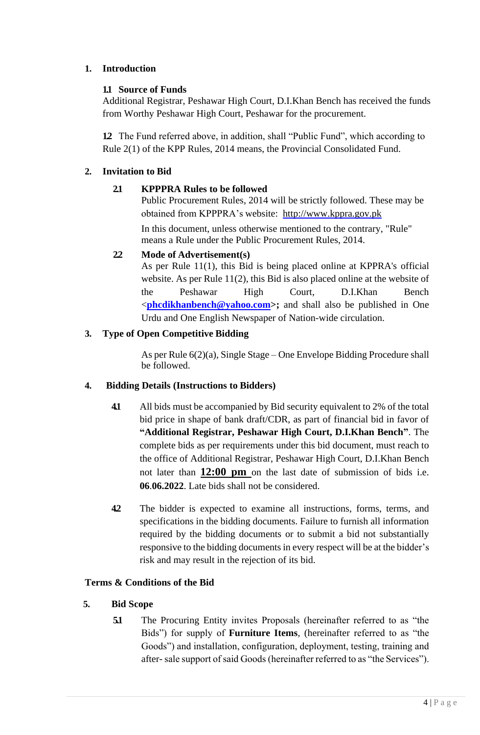## <span id="page-3-0"></span>**1. Introduction**

## **1.1 Source of Funds**

Additional Registrar, Peshawar High Court, D.I.Khan Bench has received the funds from Worthy Peshawar High Court, Peshawar for the procurement.

**1.2** The Fund referred above, in addition, shall "Public Fund", which according to Rule 2(1) of the KPP Rules, 2014 means, the Provincial Consolidated Fund.

## **2. Invitation to Bid**

## **2.1 KPPPRA Rules to be followed**

Public Procurement Rules, 2014 will be strictly followed. These may be obtained from KPPPRA's website: [http://www.kppra.gov.pk](http://www.kppra.gov.pk/)

In this document, unless otherwise mentioned to the contrary, "Rule" means a Rule under the Public Procurement Rules, 2014.

## **2.2 Mode of Advertisement(s)**

As per Rule 11(1), this Bid is being placed online at KPPRA's official website. As per Rule 11(2), this Bid is also placed online at the website of the Peshawar High Court, D.I.Khan Bench <**[phcdikhanbench@yahoo.com>](mailto:phcdikhanbench@yahoo.com);** and shall also be published in One Urdu and One English Newspaper of Nation-wide circulation.

## **3. Type of Open Competitive Bidding**

As per Rule 6(2)(a), Single Stage – One Envelope Bidding Procedure shall be followed.

## <span id="page-3-1"></span>**4. Bidding Details (Instructions to Bidders)**

- **4.1** All bids must be accompanied by Bid security equivalent to 2% of the total bid price in shape of bank draft/CDR, as part of financial bid in favor of **"Additional Registrar, Peshawar High Court, D.I.Khan Bench"**. The complete bids as per requirements under this bid document, must reach to the office of Additional Registrar, Peshawar High Court, D.I.Khan Bench not later than **12:00 pm** on the last date of submission of bids i.e. **06**.**06.2022**. Late bids shall not be considered.
- **4.2** The bidder is expected to examine all instructions, forms, terms, and specifications in the bidding documents. Failure to furnish all information required by the bidding documents or to submit a bid not substantially responsive to the bidding documents in every respect will be at the bidder's risk and may result in the rejection of its bid.

## <span id="page-3-2"></span>**Terms & Conditions of the Bid**

## <span id="page-3-3"></span>**5. Bid Scope**

**5.1** The Procuring Entity invites Proposals (hereinafter referred to as "the Bids") for supply of **Furniture Items**, (hereinafter referred to as "the Goods") and installation, configuration, deployment, testing, training and after- sale support of said Goods (hereinafter referred to as "the Services").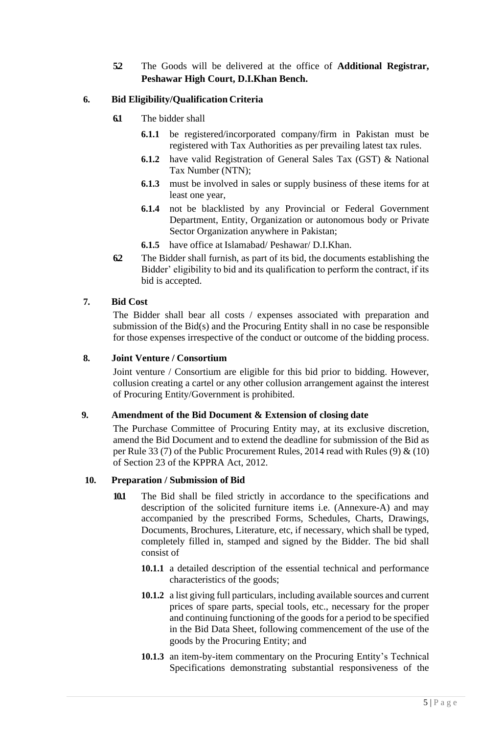**5.2** The Goods will be delivered at the office of **Additional Registrar, Peshawar High Court, D.I.Khan Bench.**

## <span id="page-4-0"></span>**6. Bid Eligibility/Qualification Criteria**

- **6.1** The bidder shall
	- **6.1.1** be registered/incorporated company/firm in Pakistan must be registered with Tax Authorities as per prevailing latest tax rules.
	- **6.1.2** have valid Registration of General Sales Tax (GST) & National Tax Number (NTN);
	- **6.1.3** must be involved in sales or supply business of these items for at least one year,
	- **6.1.4** not be blacklisted by any Provincial or Federal Government Department, Entity, Organization or autonomous body or Private Sector Organization anywhere in Pakistan;
	- **6.1.5** have office at Islamabad/ Peshawar/ D.I.Khan.
- **6.2** The Bidder shall furnish, as part of its bid, the documents establishing the Bidder' eligibility to bid and its qualification to perform the contract, if its bid is accepted.

#### <span id="page-4-1"></span>**7. Bid Cost**

The Bidder shall bear all costs / expenses associated with preparation and submission of the Bid(s) and the Procuring Entity shall in no case be responsible for those expenses irrespective of the conduct or outcome of the bidding process.

#### <span id="page-4-2"></span>**8. Joint Venture / Consortium**

Joint venture / Consortium are eligible for this bid prior to bidding. However, collusion creating a cartel or any other collusion arrangement against the interest of Procuring Entity/Government is prohibited.

#### <span id="page-4-3"></span>**9. Amendment of the Bid Document & Extension of closing date**

The Purchase Committee of Procuring Entity may, at its exclusive discretion, amend the Bid Document and to extend the deadline for submission of the Bid as per Rule 33 (7) of the Public Procurement Rules, 2014 read with Rules (9) & (10) of Section 23 of the KPPRA Act, 2012.

#### <span id="page-4-4"></span>**10. Preparation / Submission of Bid**

- **10.1** The Bid shall be filed strictly in accordance to the specifications and description of the solicited furniture items i.e. (Annexure-A) and may accompanied by the prescribed Forms, Schedules, Charts, Drawings, Documents, Brochures, Literature, etc, if necessary, which shall be typed, completely filled in, stamped and signed by the Bidder. The bid shall consist of
	- **10.1.1** a detailed description of the essential technical and performance characteristics of the goods;
	- **10.1.2** a list giving full particulars, including available sources and current prices of spare parts, special tools, etc., necessary for the proper and continuing functioning of the goods for a period to be specified in the Bid Data Sheet, following commencement of the use of the goods by the Procuring Entity; and
	- **10.1.3** an item-by-item commentary on the Procuring Entity's Technical Specifications demonstrating substantial responsiveness of the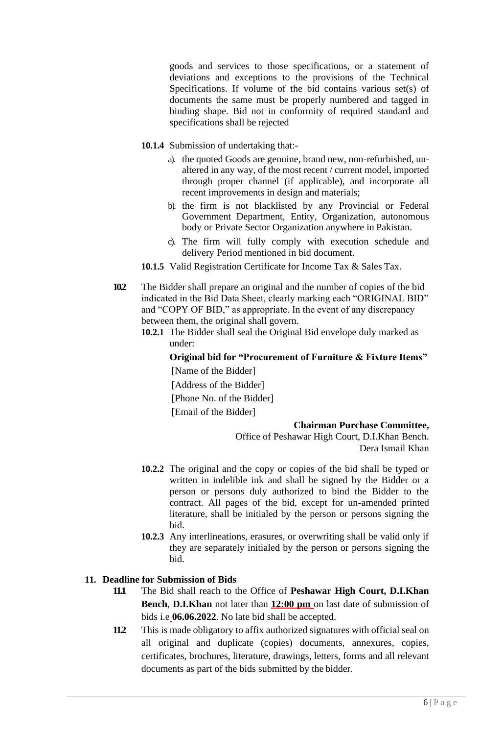goods and services to those specifications, or a statement of deviations and exceptions to the provisions of the Technical Specifications. If volume of the bid contains various set(s) of documents the same must be properly numbered and tagged in binding shape. Bid not in conformity of required standard and specifications shall be rejected

- **10.1.4** Submission of undertaking that:
	- a). the quoted Goods are genuine, brand new, non-refurbished, unaltered in any way, of the most recent / current model, imported through proper channel (if applicable), and incorporate all recent improvements in design and materials;
	- b). the firm is not blacklisted by any Provincial or Federal Government Department, Entity, Organization, autonomous body or Private Sector Organization anywhere in Pakistan.
	- c). The firm will fully comply with execution schedule and delivery Period mentioned in bid document.
- **10.1.5** Valid Registration Certificate for Income Tax & Sales Tax.
- **10.2** The Bidder shall prepare an original and the number of copies of the bid indicated in the Bid Data Sheet, clearly marking each "ORIGINAL BID" and "COPY OF BID," as appropriate. In the event of any discrepancy between them, the original shall govern.
	- **10.2.1** The Bidder shall seal the Original Bid envelope duly marked as under:

**Original bid for "Procurement of Furniture & Fixture Items"**  [Name of the Bidder] [Address of the Bidder]

[Phone No. of the Bidder]

[Email of the Bidder]

#### **Chairman Purchase Committee,**

Office of Peshawar High Court, D.I.Khan Bench. Dera Ismail Khan

- **10.2.2** The original and the copy or copies of the bid shall be typed or written in indelible ink and shall be signed by the Bidder or a person or persons duly authorized to bind the Bidder to the contract. All pages of the bid, except for un-amended printed literature, shall be initialed by the person or persons signing the bid.
- **10.2.3** Any interlineations, erasures, or overwriting shall be valid only if they are separately initialed by the person or persons signing the bid.

#### **11. Deadline for Submission of Bids**

- **11.1** The Bid shall reach to the Office of **Peshawar High Court, D.I.Khan Bench**, **D.I.Khan** not later than **12:00 pm** on last date of submission of bids i.e **06.06.2022**. No late bid shall be accepted.
- <span id="page-5-0"></span>**11.2** This is made obligatory to affix authorized signatures with official seal on all original and duplicate (copies) documents, annexures, copies, certificates, brochures, literature, drawings, letters, forms and all relevant documents as part of the bids submitted by the bidder.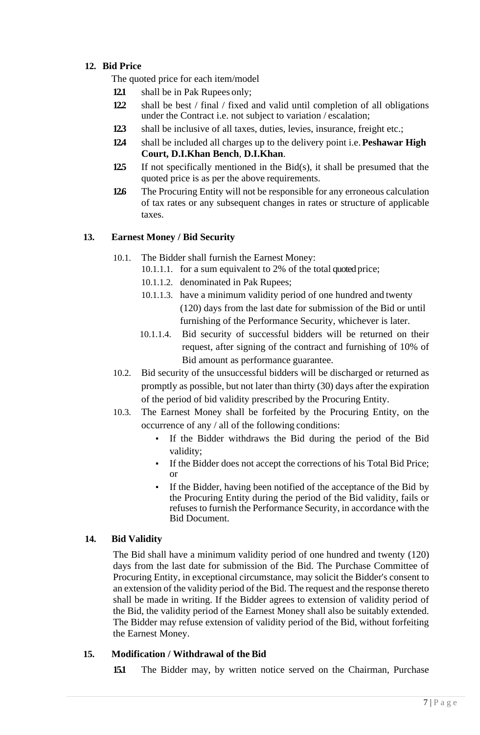## **12. Bid Price**

The quoted price for each item/model

- **12.1** shall be in Pak Rupees only;
- **12.2** shall be best / final / fixed and valid until completion of all obligations under the Contract i.e. not subject to variation / escalation;
- **12.3** shall be inclusive of all taxes, duties, levies, insurance, freight etc.;
- **12.4** shall be included all charges up to the delivery point i.e.**Peshawar High Court, D.I.Khan Bench**, **D.I.Khan**.
- **12.5** If not specifically mentioned in the Bid(s), it shall be presumed that the quoted price is as per the above requirements.
- **12.6** The Procuring Entity will not be responsible for any erroneous calculation of tax rates or any subsequent changes in rates or structure of applicable taxes.

#### <span id="page-6-0"></span>**13. Earnest Money / Bid Security**

- 10.1. The Bidder shall furnish the Earnest Money:
	- 10.1.1.1. for a sum equivalent to 2% of the total quoted price;
		- 10.1.1.2. denominated in Pak Rupees;
		- 10.1.1.3. have a minimum validity period of one hundred and twenty (120) days from the last date for submission of the Bid or until furnishing of the Performance Security, whichever is later.
		- 10.1.1.4. Bid security of successful bidders will be returned on their request, after signing of the contract and furnishing of 10% of Bid amount as performance guarantee.
- 10.2. Bid security of the unsuccessful bidders will be discharged or returned as promptly as possible, but not later than thirty (30) days after the expiration of the period of bid validity prescribed by the Procuring Entity.
- 10.3. The Earnest Money shall be forfeited by the Procuring Entity, on the occurrence of any / all of the following conditions:
	- If the Bidder withdraws the Bid during the period of the Bid validity;
	- If the Bidder does not accept the corrections of his Total Bid Price; or
	- If the Bidder, having been notified of the acceptance of the Bid by the Procuring Entity during the period of the Bid validity, fails or refuses to furnish the Performance Security, in accordance with the Bid Document.

#### <span id="page-6-1"></span>**14. Bid Validity**

The Bid shall have a minimum validity period of one hundred and twenty (120) days from the last date for submission of the Bid. The Purchase Committee of Procuring Entity, in exceptional circumstance, may solicit the Bidder's consent to an extension of the validity period of the Bid. The request and the response thereto shall be made in writing. If the Bidder agrees to extension of validity period of the Bid, the validity period of the Earnest Money shall also be suitably extended. The Bidder may refuse extension of validity period of the Bid, without forfeiting the Earnest Money.

#### <span id="page-6-2"></span>**15. Modification / Withdrawal of the Bid**

**15.1** The Bidder may, by written notice served on the Chairman, Purchase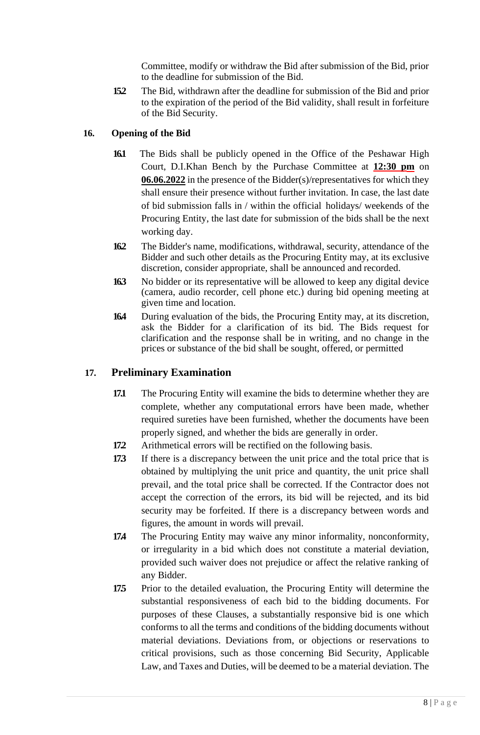Committee, modify or withdraw the Bid after submission of the Bid, prior to the deadline for submission of the Bid.

**15.2** The Bid, withdrawn after the deadline for submission of the Bid and prior to the expiration of the period of the Bid validity, shall result in forfeiture of the Bid Security.

## <span id="page-7-0"></span>**16. Opening of the Bid**

- **16.1** The Bids shall be publicly opened in the Office of the Peshawar High Court, D.I.Khan Bench by the Purchase Committee at **12:30 pm** on **06.06.2022** in the presence of the Bidder(s)/representatives for which they shall ensure their presence without further invitation. In case, the last date of bid submission falls in / within the official holidays/ weekends of the Procuring Entity, the last date for submission of the bids shall be the next working day.
- **16.2** The Bidder's name, modifications, withdrawal, security, attendance of the Bidder and such other details as the Procuring Entity may, at its exclusive discretion, consider appropriate, shall be announced and recorded.
- **16.3** No bidder or its representative will be allowed to keep any digital device (camera, audio recorder, cell phone etc.) during bid opening meeting at given time and location.
- **16.4** During evaluation of the bids, the Procuring Entity may, at its discretion, ask the Bidder for a clarification of its bid. The Bids request for clarification and the response shall be in writing, and no change in the prices or substance of the bid shall be sought, offered, or permitted

## <span id="page-7-1"></span>**17. Preliminary Examination**

- **17.1** The Procuring Entity will examine the bids to determine whether they are complete, whether any computational errors have been made, whether required sureties have been furnished, whether the documents have been properly signed, and whether the bids are generally in order.
- **17.2** Arithmetical errors will be rectified on the following basis.
- **17.3** If there is a discrepancy between the unit price and the total price that is obtained by multiplying the unit price and quantity, the unit price shall prevail, and the total price shall be corrected. If the Contractor does not accept the correction of the errors, its bid will be rejected, and its bid security may be forfeited. If there is a discrepancy between words and figures, the amount in words will prevail.
- **174** The Procuring Entity may waive any minor informality, nonconformity, or irregularity in a bid which does not constitute a material deviation, provided such waiver does not prejudice or affect the relative ranking of any Bidder.
- **175** Prior to the detailed evaluation, the Procuring Entity will determine the substantial responsiveness of each bid to the bidding documents. For purposes of these Clauses, a substantially responsive bid is one which conforms to all the terms and conditions of the bidding documents without material deviations. Deviations from, or objections or reservations to critical provisions, such as those concerning Bid Security, Applicable Law, and Taxes and Duties, will be deemed to be a material deviation. The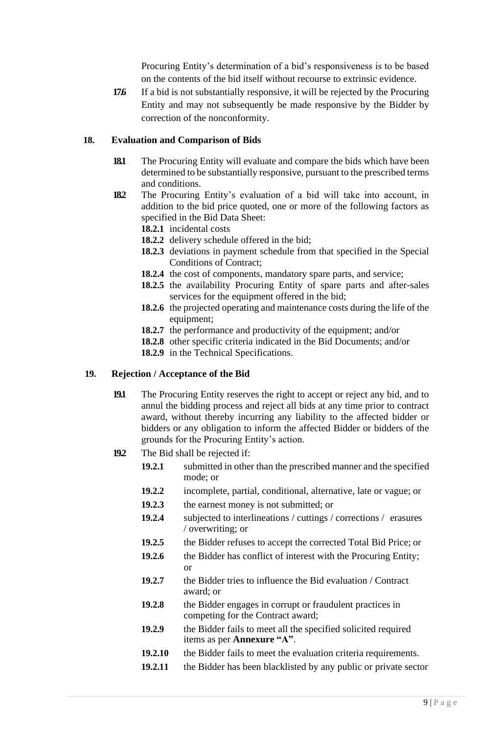Procuring Entity's determination of a bid's responsiveness is to be based on the contents of the bid itself without recourse to extrinsic evidence.

**176** If a bid is not substantially responsive, it will be rejected by the Procuring Entity and may not subsequently be made responsive by the Bidder by correction of the nonconformity.

#### **18. Evaluation and Comparison of Bids**

- **18.1** The Procuring Entity will evaluate and compare the bids which have been determined to be substantially responsive, pursuant to the prescribed terms and conditions.
- **18.2** The Procuring Entity's evaluation of a bid will take into account, in addition to the bid price quoted, one or more of the following factors as specified in the Bid Data Sheet:
	- **18.2.1** incidental costs
	- **18.2.2** delivery schedule offered in the bid;
	- **18.2.3** deviations in payment schedule from that specified in the Special Conditions of Contract;
	- **18.2.4** the cost of components, mandatory spare parts, and service;
	- **18.2.5** the availability Procuring Entity of spare parts and after-sales services for the equipment offered in the bid;
	- **18.2.6** the projected operating and maintenance costs during the life of the equipment;
	- **18.2.7** the performance and productivity of the equipment; and/or
	- **18.2.8** other specific criteria indicated in the Bid Documents; and/or
	- **18.2.9** in the Technical Specifications.

#### **19. Rejection / Acceptance of the Bid**

- **19.1** The Procuring Entity reserves the right to accept or reject any bid, and to annul the bidding process and reject all bids at any time prior to contract award, without thereby incurring any liability to the affected bidder or bidders or any obligation to inform the affected Bidder or bidders of the grounds for the Procuring Entity's action.
- **19.2** The Bid shall be rejected if:
	- **19.2.1** submitted in other than the prescribed manner and the specified mode; or
	- **19.2.2** incomplete, partial, conditional, alternative, late or vague; or
	- **19.2.3** the earnest money is not submitted; or
	- **19.2.4** subjected to interlineations / cuttings / corrections / erasures / overwriting; or
	- **19.2.5** the Bidder refuses to accept the corrected Total Bid Price; or
	- **19.2.6** the Bidder has conflict of interest with the Procuring Entity; or
	- **19.2.7** the Bidder tries to influence the Bid evaluation / Contract award; or
	- **19.2.8** the Bidder engages in corrupt or fraudulent practices in competing for the Contract award;
	- **19.2.9** the Bidder fails to meet all the specified solicited required items as per **Annexure "A"**.
	- **19.2.10** the Bidder fails to meet the evaluation criteria requirements.
	- **19.2.11** the Bidder has been blacklisted by any public or private sector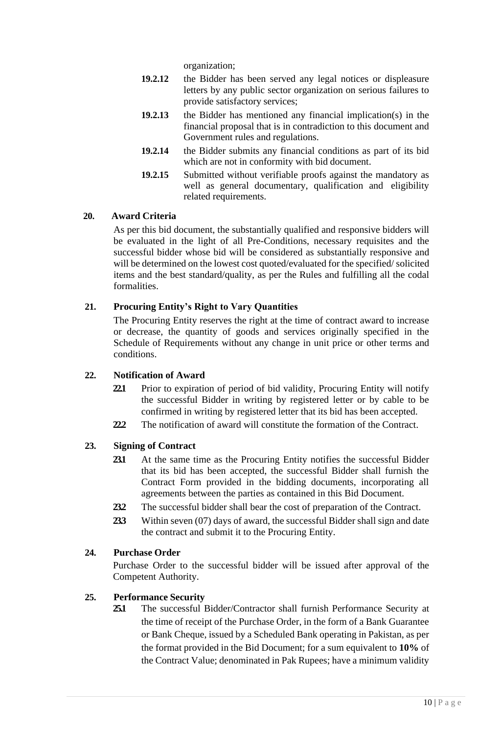organization;

- **19.2.12** the Bidder has been served any legal notices or displeasure letters by any public sector organization on serious failures to provide satisfactory services;
- **19.2.13** the Bidder has mentioned any financial implication(s) in the financial proposal that is in contradiction to this document and Government rules and regulations.
- **19.2.14** the Bidder submits any financial conditions as part of its bid which are not in conformity with bid document.
- **19.2.15** Submitted without verifiable proofs against the mandatory as well as general documentary, qualification and eligibility related requirements.

#### <span id="page-9-0"></span>**20. Award Criteria**

As per this bid document, the substantially qualified and responsive bidders will be evaluated in the light of all Pre-Conditions, necessary requisites and the successful bidder whose bid will be considered as substantially responsive and will be determined on the lowest cost quoted/evaluated for the specified/ solicited items and the best standard/quality, as per the Rules and fulfilling all the codal formalities.

#### **21. Procuring Entity's Right to Vary Quantities**

<span id="page-9-1"></span>The Procuring Entity reserves the right at the time of contract award to increase or decrease, the quantity of goods and services originally specified in the Schedule of Requirements without any change in unit price or other terms and conditions.

#### **22. Notification of Award**

- **22.1** Prior to expiration of period of bid validity, Procuring Entity will notify the successful Bidder in writing by registered letter or by cable to be confirmed in writing by registered letter that its bid has been accepted.
- **22.2** The notification of award will constitute the formation of the Contract.

#### **23. Signing of Contract**

- **23.1** At the same time as the Procuring Entity notifies the successful Bidder that its bid has been accepted, the successful Bidder shall furnish the Contract Form provided in the bidding documents, incorporating all agreements between the parties as contained in this Bid Document.
- **23.2** The successful bidder shall bear the cost of preparation of the Contract.
- **23.3** Within seven (07) days of award, the successful Bidder shall sign and date the contract and submit it to the Procuring Entity.

## **24. Purchase Order**

Purchase Order to the successful bidder will be issued after approval of the Competent Authority.

#### <span id="page-9-2"></span>**25. Performance Security**

**25.1** The successful Bidder/Contractor shall furnish Performance Security at the time of receipt of the Purchase Order, in the form of a Bank Guarantee or Bank Cheque, issued by a Scheduled Bank operating in Pakistan, as per the format provided in the Bid Document; for a sum equivalent to **10%** of the Contract Value; denominated in Pak Rupees; have a minimum validity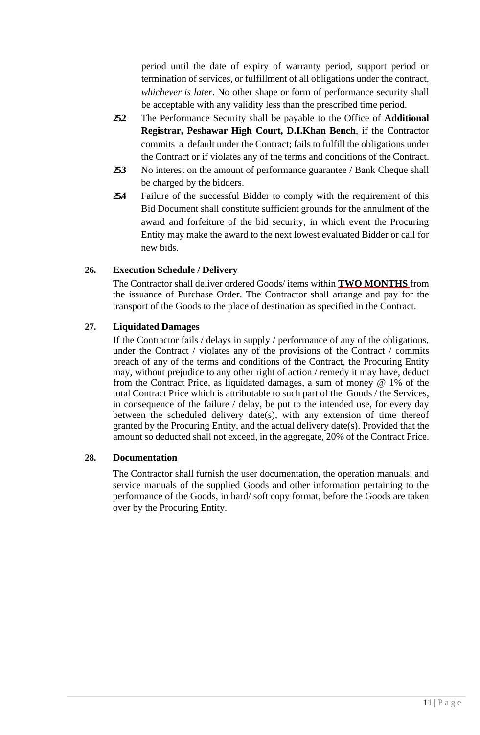period until the date of expiry of warranty period, support period or termination of services, or fulfillment of all obligations under the contract, *whichever is later*. No other shape or form of performance security shall be acceptable with any validity less than the prescribed time period.

- **25.2** The Performance Security shall be payable to the Office of **Additional Registrar, Peshawar High Court, D.I.Khan Bench**, if the Contractor commits a default under the Contract; fails to fulfill the obligations under the Contract or if violates any of the terms and conditions of the Contract.
- **25.3** No interest on the amount of performance guarantee / Bank Cheque shall be charged by the bidders.
- **25.4** Failure of the successful Bidder to comply with the requirement of this Bid Document shall constitute sufficient grounds for the annulment of the award and forfeiture of the bid security, in which event the Procuring Entity may make the award to the next lowest evaluated Bidder or call for new bids.

### <span id="page-10-0"></span>**26. Execution Schedule / Delivery**

The Contractor shall deliver ordered Goods/ items within **TWO MONTHS** from the issuance of Purchase Order. The Contractor shall arrange and pay for the transport of the Goods to the place of destination as specified in the Contract.

### **27. Liquidated Damages**

If the Contractor fails / delays in supply / performance of any of the obligations, under the Contract / violates any of the provisions of the Contract / commits breach of any of the terms and conditions of the Contract, the Procuring Entity may, without prejudice to any other right of action / remedy it may have, deduct from the Contract Price, as liquidated damages, a sum of money @ 1% of the total Contract Price which is attributable to such part of the Goods / the Services, in consequence of the failure / delay, be put to the intended use, for every day between the scheduled delivery date(s), with any extension of time thereof granted by the Procuring Entity, and the actual delivery date(s). Provided that the amount so deducted shall not exceed, in the aggregate, 20% of the Contract Price.

#### <span id="page-10-1"></span>**28. Documentation**

The Contractor shall furnish the user documentation, the operation manuals, and service manuals of the supplied Goods and other information pertaining to the performance of the Goods, in hard/ soft copy format, before the Goods are taken over by the Procuring Entity.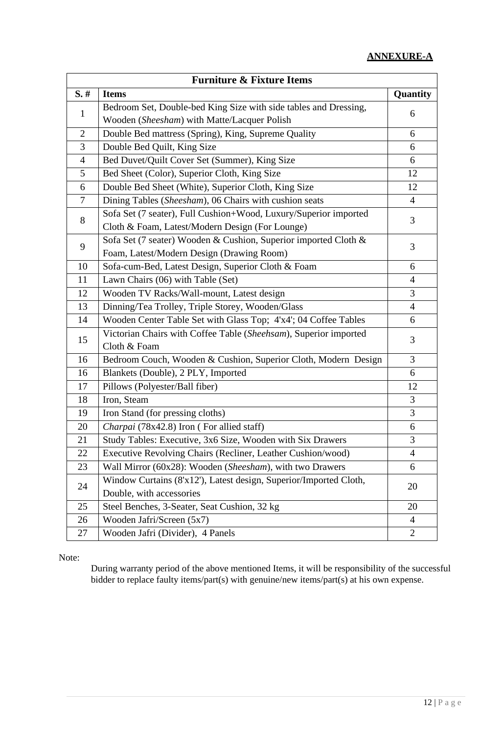# **ANNEXURE-A**

<span id="page-11-0"></span>

| <b>Furniture &amp; Fixture Items</b> |                                                                   |                |  |
|--------------------------------------|-------------------------------------------------------------------|----------------|--|
| $S.$ #                               | <b>Items</b>                                                      | Quantity       |  |
| 1                                    | Bedroom Set, Double-bed King Size with side tables and Dressing,  |                |  |
|                                      | Wooden (Sheesham) with Matte/Lacquer Polish                       | 6              |  |
| $\overline{2}$                       | Double Bed mattress (Spring), King, Supreme Quality               | 6              |  |
| 3                                    | Double Bed Quilt, King Size                                       | 6              |  |
| $\overline{4}$                       | Bed Duvet/Quilt Cover Set (Summer), King Size                     | 6              |  |
| 5                                    | Bed Sheet (Color), Superior Cloth, King Size                      | 12             |  |
| 6                                    | Double Bed Sheet (White), Superior Cloth, King Size               | 12             |  |
| 7                                    | Dining Tables (Sheesham), 06 Chairs with cushion seats            | $\overline{4}$ |  |
| 8                                    | Sofa Set (7 seater), Full Cushion+Wood, Luxury/Superior imported  | 3              |  |
|                                      | Cloth & Foam, Latest/Modern Design (For Lounge)                   |                |  |
| 9                                    | Sofa Set (7 seater) Wooden & Cushion, Superior imported Cloth &   |                |  |
|                                      | Foam, Latest/Modern Design (Drawing Room)                         | 3              |  |
| 10                                   | Sofa-cum-Bed, Latest Design, Superior Cloth & Foam                | 6              |  |
| 11                                   | Lawn Chairs (06) with Table (Set)                                 | $\overline{4}$ |  |
| 12                                   | Wooden TV Racks/Wall-mount, Latest design                         | 3              |  |
| 13                                   | Dinning/Tea Trolley, Triple Storey, Wooden/Glass                  | $\overline{4}$ |  |
| 14                                   | Wooden Center Table Set with Glass Top; 4'x4'; 04 Coffee Tables   | 6              |  |
| 15                                   | Victorian Chairs with Coffee Table (Sheehsam), Superior imported  | 3              |  |
|                                      | Cloth & Foam                                                      |                |  |
| 16                                   | Bedroom Couch, Wooden & Cushion, Superior Cloth, Modern Design    | 3              |  |
| 16                                   | Blankets (Double), 2 PLY, Imported                                | 6              |  |
| 17                                   | Pillows (Polyester/Ball fiber)                                    | 12             |  |
| 18                                   | Iron, Steam                                                       | 3              |  |
| 19                                   | Iron Stand (for pressing cloths)                                  | 3              |  |
| 20                                   | Charpai (78x42.8) Iron (For allied staff)                         | 6              |  |
| 21                                   | Study Tables: Executive, 3x6 Size, Wooden with Six Drawers        | 3              |  |
| 22                                   | Executive Revolving Chairs (Recliner, Leather Cushion/wood)       | $\overline{4}$ |  |
| 23                                   | Wall Mirror (60x28): Wooden (Sheesham), with two Drawers          | 6              |  |
| 24                                   | Window Curtains (8'x12'), Latest design, Superior/Imported Cloth, |                |  |
|                                      | Double, with accessories                                          | 20             |  |
| 25                                   | Steel Benches, 3-Seater, Seat Cushion, 32 kg                      | 20             |  |
| 26                                   | Wooden Jafri/Screen (5x7)                                         | $\overline{4}$ |  |
| 27                                   | Wooden Jafri (Divider), 4 Panels                                  | $\overline{2}$ |  |

Note:

During warranty period of the above mentioned Items, it will be responsibility of the successful bidder to replace faulty items/part(s) with genuine/new items/part(s) at his own expense.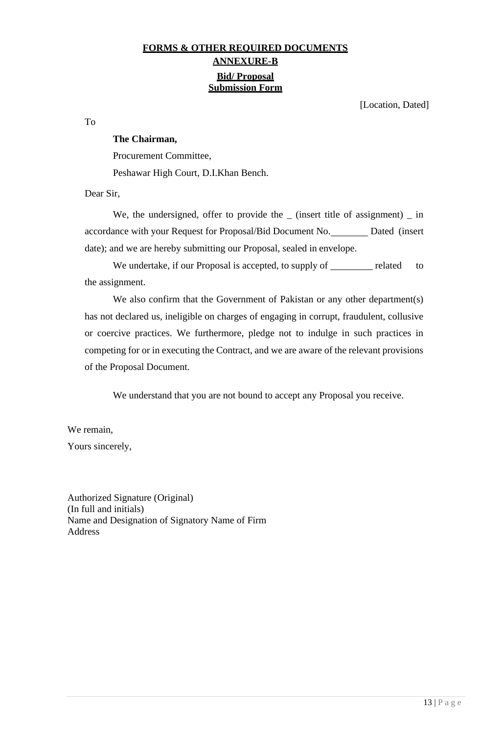## **FORMS & OTHER REQUIRED DOCUMENTS ANNEXURE-B Bid/ Proposal Submission Form**

[Location, Dated]

<span id="page-12-0"></span>To

#### **The Chairman,**

Procurement Committee, Peshawar High Court, D.I.Khan Bench.

Dear Sir,

We, the undersigned, offer to provide the  $\_$  (insert title of assignment)  $\_$  in accordance with your Request for Proposal/Bid Document No. Dated (insert date); and we are hereby submitting our Proposal, sealed in envelope.

We undertake, if our Proposal is accepted, to supply of related to the assignment.

We also confirm that the Government of Pakistan or any other department(s) has not declared us, ineligible on charges of engaging in corrupt, fraudulent, collusive or coercive practices. We furthermore, pledge not to indulge in such practices in competing for or in executing the Contract, and we are aware of the relevant provisions of the Proposal Document.

We understand that you are not bound to accept any Proposal you receive.

We remain,

Yours sincerely,

Authorized Signature (Original) (In full and initials) Name and Designation of Signatory Name of Firm Address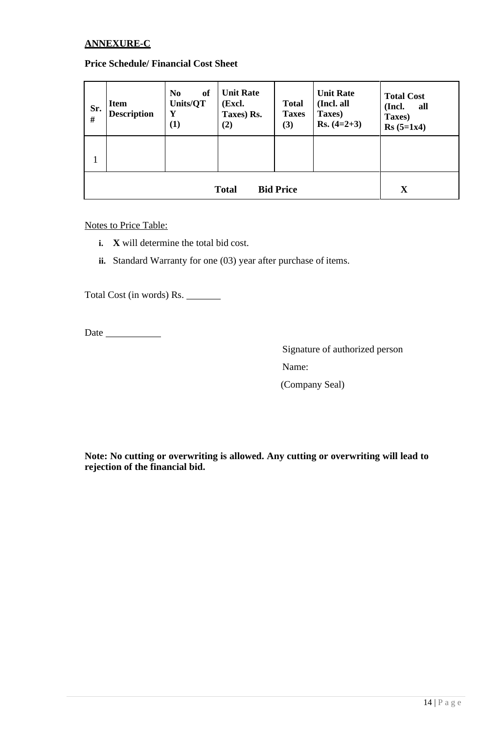#### <span id="page-13-0"></span>**ANNEXURE-C**

#### **Price Schedule/ Financial Cost Sheet**

| Sr.<br>$\#$ | <b>Item</b><br><b>Description</b>               | <b>of</b><br>N <sub>0</sub><br>Units/QT<br>Y<br>(1) | <b>Unit Rate</b><br>(Excl.<br>Taxes) Rs.<br>(2) | <b>Total</b><br><b>Taxes</b><br>(3) | <b>Unit Rate</b><br>(Incl. all<br>Taxes)<br>$Rs. (4=2+3)$ | <b>Total Cost</b><br>all<br>(Incl.<br>Taxes)<br>$Rs (5=1x4)$ |
|-------------|-------------------------------------------------|-----------------------------------------------------|-------------------------------------------------|-------------------------------------|-----------------------------------------------------------|--------------------------------------------------------------|
| 1           |                                                 |                                                     |                                                 |                                     |                                                           |                                                              |
|             | $\mathbf X$<br><b>Bid Price</b><br><b>Total</b> |                                                     |                                                 |                                     |                                                           |                                                              |

Notes to Price Table:

- **i. X** will determine the total bid cost.
- **ii.** Standard Warranty for one (03) year after purchase of items.

Total Cost (in words) Rs.

Date

Signature of authorized person

Name:

(Company Seal)

**Note: No cutting or overwriting is allowed. Any cutting or overwriting will lead to rejection of the financial bid.**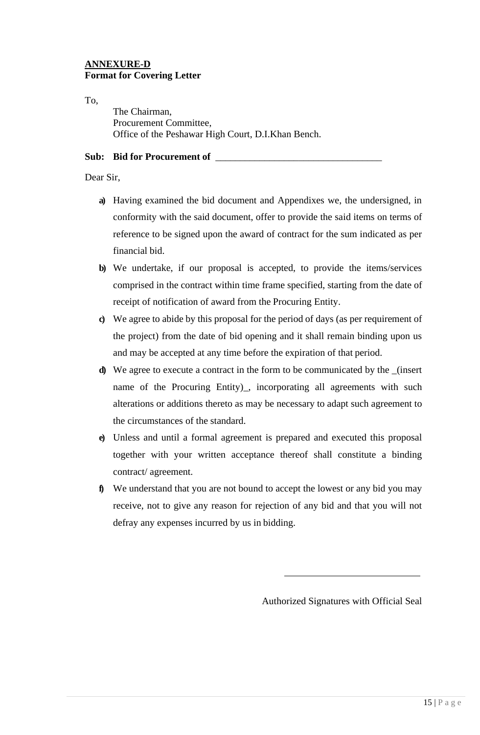#### **ANNEXURE-D Format for Covering Letter**

To,

The Chairman, Procurement Committee, Office of the Peshawar High Court, D.I.Khan Bench.

#### **Sub: Bid for Procurement of** \_\_\_\_\_\_\_\_\_\_\_\_\_\_\_\_\_\_\_\_\_\_\_\_\_\_\_\_\_\_\_\_\_\_

#### Dear Sir,

- **a)** Having examined the bid document and Appendixes we, the undersigned, in conformity with the said document, offer to provide the said items on terms of reference to be signed upon the award of contract for the sum indicated as per financial bid.
- **b)** We undertake, if our proposal is accepted, to provide the items/services comprised in the contract within time frame specified, starting from the date of receipt of notification of award from the Procuring Entity.
- **c)** We agree to abide by this proposal for the period of days (as per requirement of the project) from the date of bid opening and it shall remain binding upon us and may be accepted at any time before the expiration of that period.
- **d)** We agree to execute a contract in the form to be communicated by the \_(insert name of the Procuring Entity)\_, incorporating all agreements with such alterations or additions thereto as may be necessary to adapt such agreement to the circumstances of the standard.
- **e)** Unless and until a formal agreement is prepared and executed this proposal together with your written acceptance thereof shall constitute a binding contract/ agreement.
- **f)** We understand that you are not bound to accept the lowest or any bid you may receive, not to give any reason for rejection of any bid and that you will not defray any expenses incurred by us in bidding.

Authorized Signatures with Official Seal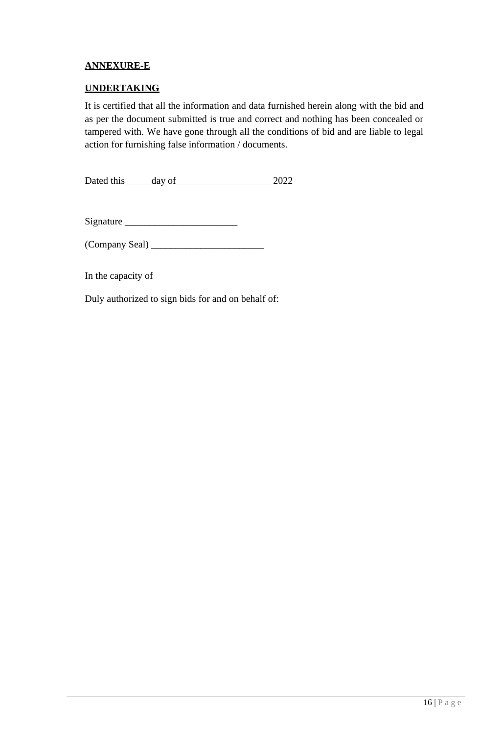## **ANNEXURE-E**

## **UNDERTAKING**

It is certified that all the information and data furnished herein along with the bid and as per the document submitted is true and correct and nothing has been concealed or tampered with. We have gone through all the conditions of bid and are liable to legal action for furnishing false information / documents.

Dated this day of 2022

Signature \_\_\_\_\_\_\_\_\_\_\_\_\_\_\_\_\_\_\_\_\_\_\_

(Company Seal) \_\_\_\_\_\_\_\_\_\_\_\_\_\_\_\_\_\_\_\_\_\_\_

In the capacity of

Duly authorized to sign bids for and on behalf of: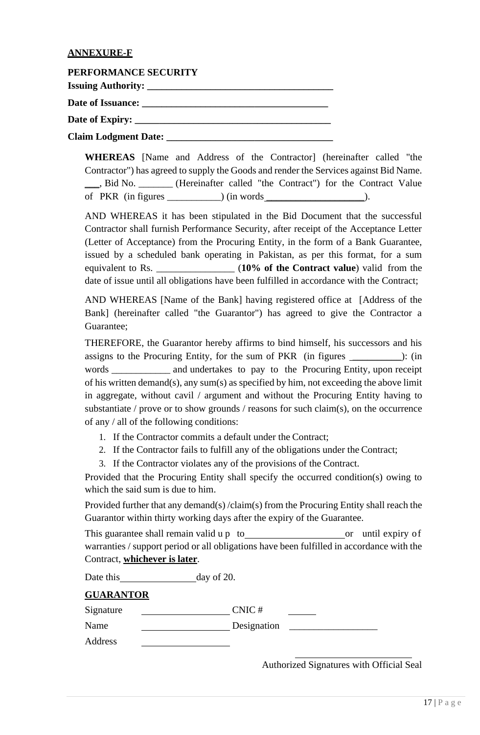#### **ANNEXURE-F**

| PERFORMANCE SECURITY        |  |
|-----------------------------|--|
|                             |  |
| Date of Issuance:           |  |
|                             |  |
| <b>Claim Lodgment Date:</b> |  |

**WHEREAS** [Name and Address of the Contractor] (hereinafter called "the Contractor") has agreed to supply the Goods and render the Services against Bid Name. \_\_\_, Bid No. \_\_\_\_\_\_\_ (Hereinafter called "the Contract") for the Contract Value of PKR  $(in figures \_\_\_\_\_$ ) $(in words \_\_\_\_\_$ .

AND WHEREAS it has been stipulated in the Bid Document that the successful Contractor shall furnish Performance Security, after receipt of the Acceptance Letter (Letter of Acceptance) from the Procuring Entity, in the form of a Bank Guarantee, issued by a scheduled bank operating in Pakistan, as per this format, for a sum equivalent to Rs. \_\_\_\_\_\_\_\_\_\_\_\_\_\_\_\_ (**10% of the Contract value**) valid from the date of issue until all obligations have been fulfilled in accordance with the Contract;

AND WHEREAS [Name of the Bank] having registered office at [Address of the Bank] (hereinafter called "the Guarantor") has agreed to give the Contractor a Guarantee;

THEREFORE, the Guarantor hereby affirms to bind himself, his successors and his assigns to the Procuring Entity, for the sum of PKR (in figures \_\_\_\_\_\_\_\_\_\_): (in words \_\_\_\_\_\_\_\_\_\_\_\_ and undertakes to pay to the Procuring Entity, upon receipt of his written demand(s), any sum(s) as specified by him, not exceeding the above limit in aggregate, without cavil / argument and without the Procuring Entity having to substantiate / prove or to show grounds / reasons for such claim(s), on the occurrence of any / all of the following conditions:

- 1. If the Contractor commits a default under the Contract;
- 2. If the Contractor fails to fulfill any of the obligations under the Contract;
- 3. If the Contractor violates any of the provisions of the Contract.

Provided that the Procuring Entity shall specify the occurred condition(s) owing to which the said sum is due to him.

Provided further that any demand(s) /claim(s) from the Procuring Entity shall reach the Guarantor within thirty working days after the expiry of the Guarantee.

This guarantee shall remain valid u p to or until expiry of warranties / support period or all obligations have been fulfilled in accordance with the Contract, **whichever is later**.

| Date this        | day of $20$ . |
|------------------|---------------|
| <b>GUARANTOR</b> |               |
| Signature        | CNIC#         |
| Name             | Designation   |
| Address          |               |

Authorized Signatures with Official Seal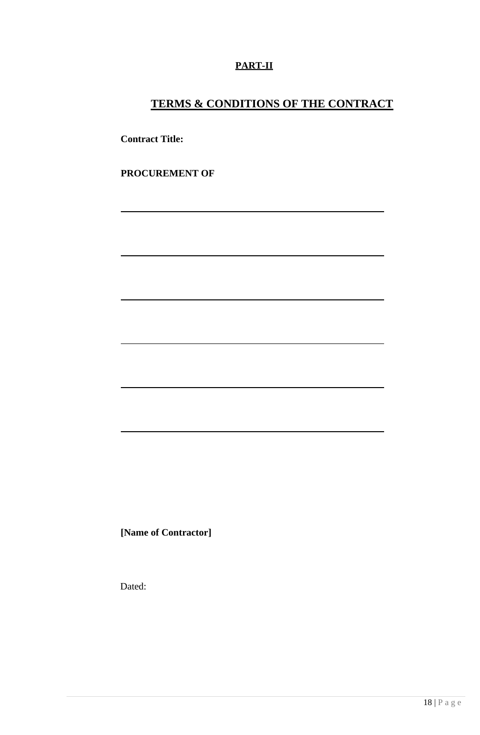## **PART-II**

## **TERMS & CONDITIONS OF THE CONTRACT**

**Contract Title:**

**PROCUREMENT OF**

**[Name of Contractor]**

Dated: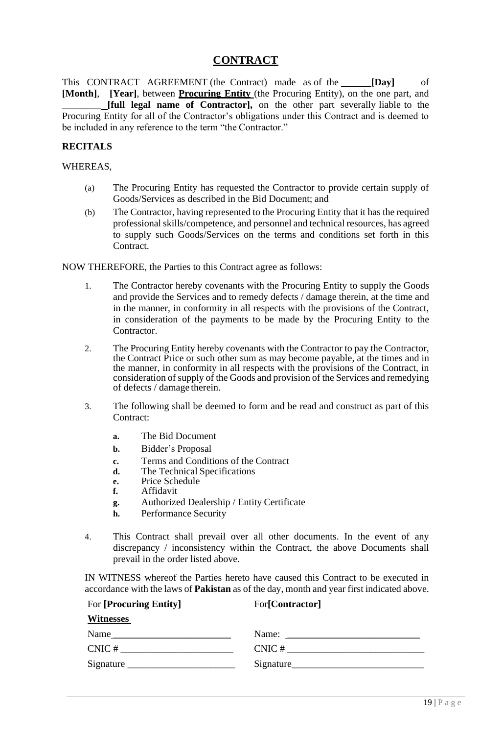## **CONTRACT**

<span id="page-18-0"></span>This CONTRACT AGREEMENT (the Contract) made as of the **[Day]** of **[Month]**, **[Year]**, between **Procuring Entity** (the Procuring Entity), on the one part, and \_\_\_\_\_\_\_\_ **[full legal name of Contractor],** on the other part severally liable to the Procuring Entity for all of the Contractor's obligations under this Contract and is deemed to be included in any reference to the term "the Contractor."

#### **RECITALS**

#### WHEREAS,

- (a) The Procuring Entity has requested the Contractor to provide certain supply of Goods/Services as described in the Bid Document; and
- (b) The Contractor, having represented to the Procuring Entity that it has the required professional skills/competence, and personnel and technical resources, has agreed to supply such Goods/Services on the terms and conditions set forth in this Contract.

NOW THEREFORE, the Parties to this Contract agree as follows:

- 1. The Contractor hereby covenants with the Procuring Entity to supply the Goods and provide the Services and to remedy defects / damage therein, at the time and in the manner, in conformity in all respects with the provisions of the Contract, in consideration of the payments to be made by the Procuring Entity to the Contractor.
- 2. The Procuring Entity hereby covenants with the Contractor to pay the Contractor, the Contract Price or such other sum as may become payable, at the times and in the manner, in conformity in all respects with the provisions of the Contract, in consideration of supply of the Goods and provision of the Services and remedying of defects / damage therein.
- 3. The following shall be deemed to form and be read and construct as part of this Contract:
	- **a.** The Bid Document
	- **b.** Bidder's Proposal
	- **c.** Terms and Conditions of the Contract
	- **d.** The Technical Specifications
	- **e.** Price Schedule
	- **f.** Affidavit
	- **g.** Authorized Dealership / Entity Certificate

For **[Procuring Entity]** For**[Contractor]**

- **h.** Performance Security
- 4. This Contract shall prevail over all other documents. In the event of any discrepancy / inconsistency within the Contract, the above Documents shall prevail in the order listed above.

IN WITNESS whereof the Parties hereto have caused this Contract to be executed in accordance with the laws of **Pakistan** as of the day, month and year first indicated above.

| <b>Witnesses</b> |            |
|------------------|------------|
| Name             | Name:      |
| CNIC#            | CNIC#      |
|                  | Signature_ |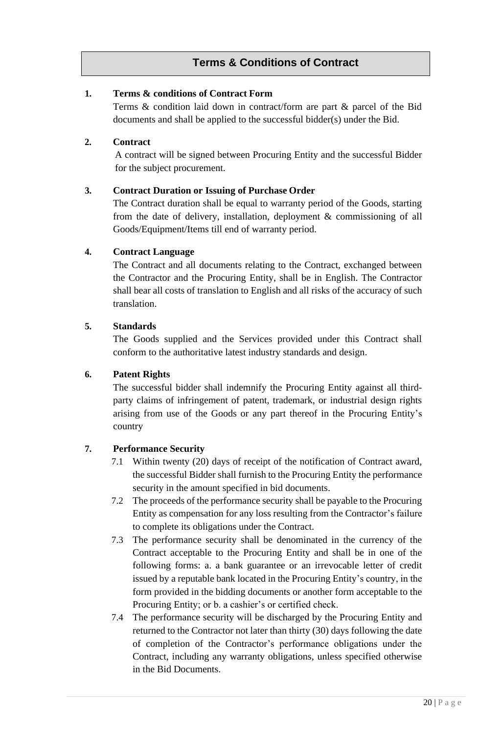## **Terms & Conditions of Contract**

#### <span id="page-19-0"></span>**1. Terms & conditions of Contract Form**

Terms & condition laid down in contract/form are part & parcel of the Bid documents and shall be applied to the successful bidder(s) under the Bid.

#### **2. Contract**

A contract will be signed between Procuring Entity and the successful Bidder for the subject procurement.

### <span id="page-19-1"></span>**3. Contract Duration or Issuing of Purchase Order**

The Contract duration shall be equal to warranty period of the Goods, starting from the date of delivery, installation, deployment & commissioning of all Goods/Equipment/Items till end of warranty period.

### <span id="page-19-2"></span>**4. Contract Language**

The Contract and all documents relating to the Contract, exchanged between the Contractor and the Procuring Entity, shall be in English. The Contractor shall bear all costs of translation to English and all risks of the accuracy of such translation.

### <span id="page-19-3"></span>**5. Standards**

The Goods supplied and the Services provided under this Contract shall conform to the authoritative latest industry standards and design.

## **6. Patent Rights**

The successful bidder shall indemnify the Procuring Entity against all thirdparty claims of infringement of patent, trademark, or industrial design rights arising from use of the Goods or any part thereof in the Procuring Entity's country

## <span id="page-19-4"></span>**7. Performance Security**

- 7.1 Within twenty (20) days of receipt of the notification of Contract award, the successful Bidder shall furnish to the Procuring Entity the performance security in the amount specified in bid documents.
- 7.2 The proceeds of the performance security shall be payable to the Procuring Entity as compensation for any loss resulting from the Contractor's failure to complete its obligations under the Contract.
- 7.3 The performance security shall be denominated in the currency of the Contract acceptable to the Procuring Entity and shall be in one of the following forms: a. a bank guarantee or an irrevocable letter of credit issued by a reputable bank located in the Procuring Entity's country, in the form provided in the bidding documents or another form acceptable to the Procuring Entity; or b. a cashier's or certified check.
- 7.4 The performance security will be discharged by the Procuring Entity and returned to the Contractor not later than thirty (30) days following the date of completion of the Contractor's performance obligations under the Contract, including any warranty obligations, unless specified otherwise in the Bid Documents.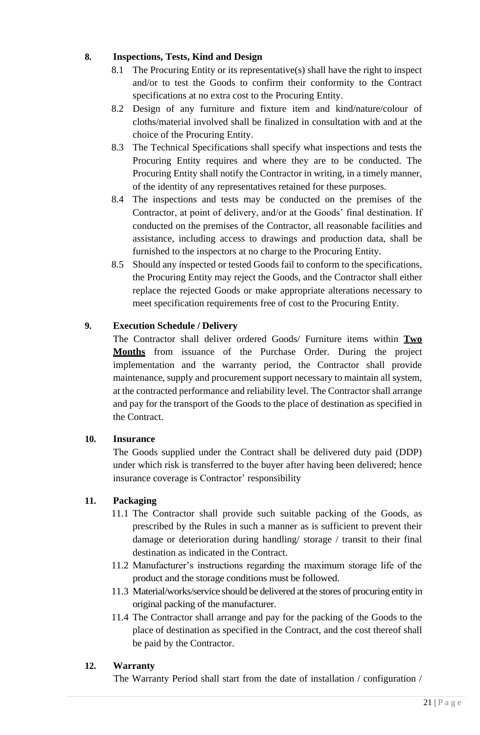## **8. Inspections, Tests, Kind and Design**

- 8.1 The Procuring Entity or its representative(s) shall have the right to inspect and/or to test the Goods to confirm their conformity to the Contract specifications at no extra cost to the Procuring Entity.
- 8.2 Design of any furniture and fixture item and kind/nature/colour of cloths/material involved shall be finalized in consultation with and at the choice of the Procuring Entity.
- 8.3 The Technical Specifications shall specify what inspections and tests the Procuring Entity requires and where they are to be conducted. The Procuring Entity shall notify the Contractor in writing, in a timely manner, of the identity of any representatives retained for these purposes.
- 8.4 The inspections and tests may be conducted on the premises of the Contractor, at point of delivery, and/or at the Goods' final destination. If conducted on the premises of the Contractor, all reasonable facilities and assistance, including access to drawings and production data, shall be furnished to the inspectors at no charge to the Procuring Entity.
- 8.5 Should any inspected or tested Goods fail to conform to the specifications, the Procuring Entity may reject the Goods, and the Contractor shall either replace the rejected Goods or make appropriate alterations necessary to meet specification requirements free of cost to the Procuring Entity.

## **9. Execution Schedule / Delivery**

The Contractor shall deliver ordered Goods/ Furniture items within **Two Months** from issuance of the Purchase Order. During the project implementation and the warranty period, the Contractor shall provide maintenance, supply and procurement support necessary to maintain all system, at the contracted performance and reliability level. The Contractor shall arrange and pay for the transport of the Goods to the place of destination as specified in the Contract.

## <span id="page-20-0"></span>**10. Insurance**

The Goods supplied under the Contract shall be delivered duty paid (DDP) under which risk is transferred to the buyer after having been delivered; hence insurance coverage is Contractor' responsibility

## **11. Packaging**

- 11.1 The Contractor shall provide such suitable packing of the Goods, as prescribed by the Rules in such a manner as is sufficient to prevent their damage or deterioration during handling/ storage / transit to their final destination as indicated in the Contract.
- 11.2 Manufacturer's instructions regarding the maximum storage life of the product and the storage conditions must be followed.
- 11.3 Material/works/service should be delivered at the stores of procuring entity in original packing of the manufacturer.
- 11.4 The Contractor shall arrange and pay for the packing of the Goods to the place of destination as specified in the Contract, and the cost thereof shall be paid by the Contractor.

## <span id="page-20-1"></span>**12. Warranty**

The Warranty Period shall start from the date of installation / configuration /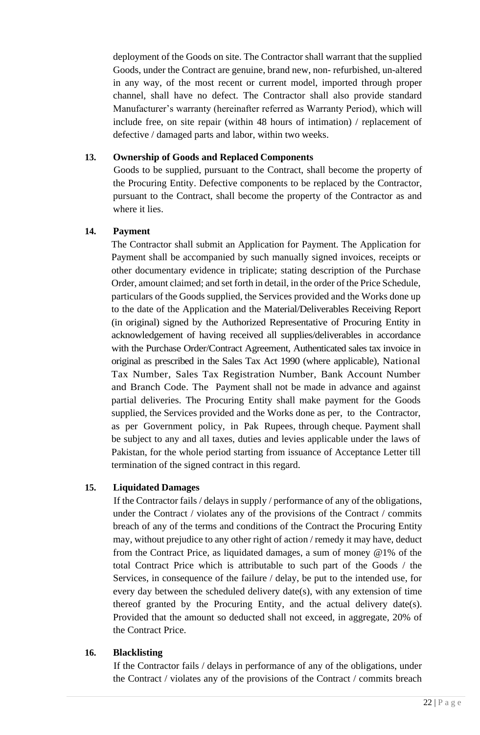deployment of the Goods on site. The Contractor shall warrant that the supplied Goods, under the Contract are genuine, brand new, non- refurbished, un-altered in any way, of the most recent or current model, imported through proper channel, shall have no defect. The Contractor shall also provide standard Manufacturer's warranty (hereinafter referred as Warranty Period), which will include free, on site repair (within 48 hours of intimation) / replacement of defective / damaged parts and labor, within two weeks.

#### <span id="page-21-0"></span>**13. Ownership of Goods and Replaced Components**

Goods to be supplied, pursuant to the Contract, shall become the property of the Procuring Entity. Defective components to be replaced by the Contractor, pursuant to the Contract, shall become the property of the Contractor as and where it lies.

### <span id="page-21-1"></span>**14. Payment**

The Contractor shall submit an Application for Payment. The Application for Payment shall be accompanied by such manually signed invoices, receipts or other documentary evidence in triplicate; stating description of the Purchase Order, amount claimed; and set forth in detail, in the order of the Price Schedule, particulars of the Goods supplied, the Services provided and the Works done up to the date of the Application and the Material/Deliverables Receiving Report (in original) signed by the Authorized Representative of Procuring Entity in acknowledgement of having received all supplies/deliverables in accordance with the Purchase Order/Contract Agreement, Authenticated sales tax invoice in original as prescribed in the Sales Tax Act 1990 (where applicable), National Tax Number, Sales Tax Registration Number, Bank Account Number and Branch Code. The Payment shall not be made in advance and against partial deliveries. The Procuring Entity shall make payment for the Goods supplied, the Services provided and the Works done as per, to the Contractor, as per Government policy, in Pak Rupees, through cheque. Payment shall be subject to any and all taxes, duties and levies applicable under the laws of Pakistan, for the whole period starting from issuance of Acceptance Letter till termination of the signed contract in this regard.

## <span id="page-21-2"></span>**15. Liquidated Damages**

If the Contractor fails / delays in supply / performance of any of the obligations, under the Contract / violates any of the provisions of the Contract / commits breach of any of the terms and conditions of the Contract the Procuring Entity may, without prejudice to any other right of action / remedy it may have, deduct from the Contract Price, as liquidated damages, a sum of money @1% of the total Contract Price which is attributable to such part of the Goods / the Services, in consequence of the failure / delay, be put to the intended use, for every day between the scheduled delivery date(s), with any extension of time thereof granted by the Procuring Entity, and the actual delivery date(s). Provided that the amount so deducted shall not exceed, in aggregate, 20% of the Contract Price.

#### <span id="page-21-3"></span>**16. Blacklisting**

If the Contractor fails / delays in performance of any of the obligations, under the Contract / violates any of the provisions of the Contract / commits breach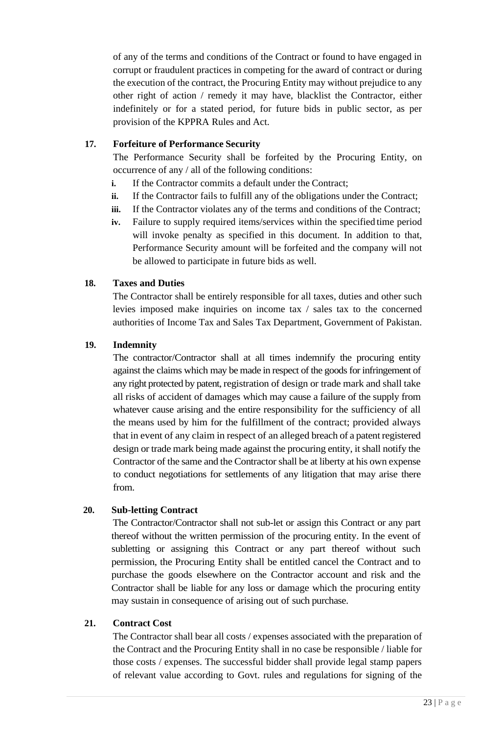of any of the terms and conditions of the Contract or found to have engaged in corrupt or fraudulent practices in competing for the award of contract or during the execution of the contract, the Procuring Entity may without prejudice to any other right of action / remedy it may have, blacklist the Contractor, either indefinitely or for a stated period, for future bids in public sector, as per provision of the KPPRA Rules and Act.

### <span id="page-22-0"></span>**17. Forfeiture of Performance Security**

The Performance Security shall be forfeited by the Procuring Entity, on occurrence of any / all of the following conditions:

- **i.** If the Contractor commits a default under the Contract;
- **ii.** If the Contractor fails to fulfill any of the obligations under the Contract;
- **iii.** If the Contractor violates any of the terms and conditions of the Contract;
- **iv.** Failure to supply required items/services within the specified time period will invoke penalty as specified in this document. In addition to that, Performance Security amount will be forfeited and the company will not be allowed to participate in future bids as well.

### <span id="page-22-1"></span>**18. Taxes and Duties**

The Contractor shall be entirely responsible for all taxes, duties and other such levies imposed make inquiries on income tax / sales tax to the concerned authorities of Income Tax and Sales Tax Department, Government of Pakistan.

### <span id="page-22-2"></span>**19. Indemnity**

The contractor/Contractor shall at all times indemnify the procuring entity against the claims which may be made in respect of the goods for infringement of any right protected by patent, registration of design or trade mark and shall take all risks of accident of damages which may cause a failure of the supply from whatever cause arising and the entire responsibility for the sufficiency of all the means used by him for the fulfillment of the contract; provided always that in event of any claim in respect of an alleged breach of a patent registered design or trade mark being made against the procuring entity, it shall notify the Contractor of the same and the Contractor shall be at liberty at his own expense to conduct negotiations for settlements of any litigation that may arise there from.

#### **20. Sub-letting Contract**

The Contractor/Contractor shall not sub-let or assign this Contract or any part thereof without the written permission of the procuring entity. In the event of subletting or assigning this Contract or any part thereof without such permission, the Procuring Entity shall be entitled cancel the Contract and to purchase the goods elsewhere on the Contractor account and risk and the Contractor shall be liable for any loss or damage which the procuring entity may sustain in consequence of arising out of such purchase.

#### **21. Contract Cost**

The Contractor shall bear all costs / expenses associated with the preparation of the Contract and the Procuring Entity shall in no case be responsible / liable for those costs / expenses. The successful bidder shall provide legal stamp papers of relevant value according to Govt. rules and regulations for signing of the